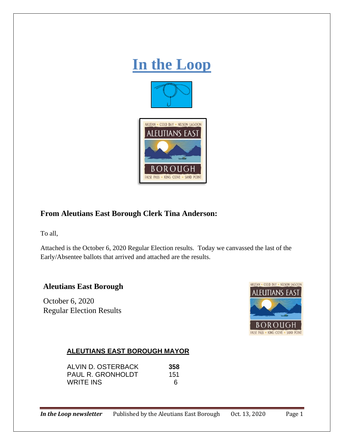

# **From Aleutians East Borough Clerk Tina Anderson:**

To all,

Attached is the October 6, 2020 Regular Election results. Today we canvassed the last of the Early/Absentee ballots that arrived and attached are the results.

### **Aleutians East Borough**

October 6, 2020 Regular Election Results



#### **ALEUTIANS EAST BOROUGH MAYOR**

| ALVIN D. OSTERBACK       | 358 |
|--------------------------|-----|
| <b>PAUL R. GRONHOLDT</b> | 151 |
| WRITE INS                | 6   |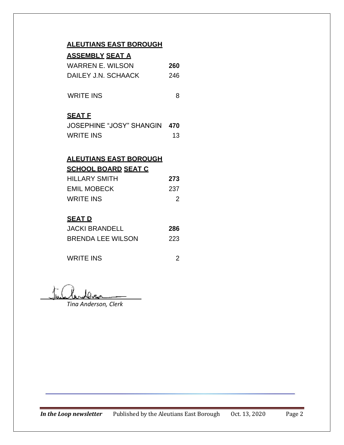### **ALEUTIANS EAST BOROUGH**

| <b>ASSEMBLY SEAT A</b> |
|------------------------|
|------------------------|

| WARREN E. WILSON    | 260 |
|---------------------|-----|
| DAILEY J.N. SCHAACK | 246 |

WRITE INS 8

### **SEAT F**

| JOSEPHINE "JOSY" SHANGIN 470 |    |
|------------------------------|----|
| WRITE INS                    | 13 |

### **ALEUTIANS EAST BOROUGH SCHOOL BOARD SEAT C**

| <b>HILLARY SMITH</b> | 273 |
|----------------------|-----|
| <b>EMIL MOBECK</b>   | 237 |
| <b>WRITE INS</b>     | 2   |

## **SEAT D**

| JACKI BRANDELL    | 286 |
|-------------------|-----|
| BRENDA LEE WILSON | 223 |

WRITE INS 2

*Tina Anderson, Clerk*